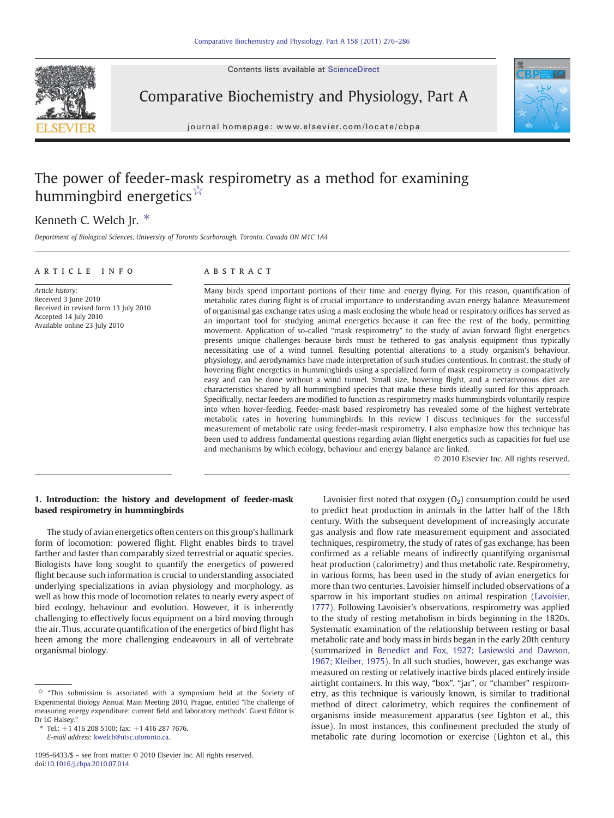Contents lists available at ScienceDirect



Comparative Biochemistry and Physiology, Part A



journal homepage: www.elsevier.com/locate/cbpa

# The power of feeder-mask respirometry as a method for examining hummingbird energetics $\mathbb{X}$

## Kenneth C. Welch Jr.  $*$

Department of Biological Sciences, University of Toronto Scarborough, Toronto, Canada ON M1C 1A4

## ARTICLE INFO ABSTRACT

Article history: Received 3 June 2010 Received in revised form 13 July 2010 Accepted 14 July 2010 Available online 23 July 2010

Many birds spend important portions of their time and energy flying. For this reason, quantification of metabolic rates during flight is of crucial importance to understanding avian energy balance. Measurement of organismal gas exchange rates using a mask enclosing the whole head or respiratory orifices has served as an important tool for studying animal energetics because it can free the rest of the body, permitting movement. Application of so-called "mask respirometry" to the study of avian forward flight energetics presents unique challenges because birds must be tethered to gas analysis equipment thus typically necessitating use of a wind tunnel. Resulting potential alterations to a study organism's behaviour, physiology, and aerodynamics have made interpretation of such studies contentious. In contrast, the study of hovering flight energetics in hummingbirds using a specialized form of mask respirometry is comparatively easy and can be done without a wind tunnel. Small size, hovering flight, and a nectarivorous diet are characteristics shared by all hummingbird species that make these birds ideally suited for this approach. Specifically, nectar feeders are modified to function as respirometry masks hummingbirds voluntarily respire into when hover-feeding. Feeder-mask based respirometry has revealed some of the highest vertebrate metabolic rates in hovering hummingbirds. In this review I discuss techniques for the successful measurement of metabolic rate using feeder-mask respirometry. I also emphasize how this technique has been used to address fundamental questions regarding avian flight energetics such as capacities for fuel use and mechanisms by which ecology, behaviour and energy balance are linked.

© 2010 Elsevier Inc. All rights reserved.

### 1. Introduction: the history and development of feeder-mask based respirometry in hummingbirds

The study of avian energetics often centers on this group's hallmark form of locomotion: powered flight. Flight enables birds to travel farther and faster than comparably sized terrestrial or aquatic species. Biologists have long sought to quantify the energetics of powered flight because such information is crucial to understanding associated underlying specializations in avian physiology and morphology, as well as how this mode of locomotion relates to nearly every aspect of bird ecology, behaviour and evolution. However, it is inherently challenging to effectively focus equipment on a bird moving through the air. Thus, accurate quantification of the energetics of bird flight has been among the more challenging endeavours in all of vertebrate organismal biology.

E-mail address: [kwelch@utsc.utoronto.ca.](mailto:kwelch@utsc.utoronto.ca)

Lavoisier first noted that oxygen  $(O_2)$  consumption could be used to predict heat production in animals in the latter half of the 18th century. With the subsequent development of increasingly accurate gas analysis and flow rate measurement equipment and associated techniques, respirometry, the study of rates of gas exchange, has been confirmed as a reliable means of indirectly quantifying organismal heat production (calorimetry) and thus metabolic rate. Respirometry, in various forms, has been used in the study of avian energetics for more than two centuries. Lavoisier himself included observations of a sparrow in his important studies on animal respiration ([Lavoisier,](#page-10-0) [1777\)](#page-10-0). Following Lavoisier's observations, respirometry was applied to the study of resting metabolism in birds beginning in the 1820s. Systematic examination of the relationship between resting or basal metabolic rate and body mass in birds began in the early 20th century (summarized in [Benedict and Fox, 1927; Lasiewski and Dawson,](#page-9-0) [1967; Kleiber, 1975](#page-9-0)). In all such studies, however, gas exchange was measured on resting or relatively inactive birds placed entirely inside airtight containers. In this way, "box", "jar", or "chamber" respirometry, as this technique is variously known, is similar to traditional method of direct calorimetry, which requires the confinement of organisms inside measurement apparatus (see Lighton et al., this issue). In most instances, this confinement precluded the study of metabolic rate during locomotion or exercise (Lighton et al., this

 $\overrightarrow{x}$  "This submission is associated with a symposium held at the Society of Experimental Biology Annual Main Meeting 2010, Prague, entitled 'The challenge of measuring energy expenditure: current field and laboratory methods'. Guest Editor is Dr LG Halsey."

 $*$  Tel.: +1 416 208 5100; fax: +1 416 287 7676.

<sup>1095-6433/\$</sup> – see front matter © 2010 Elsevier Inc. All rights reserved. doi[:10.1016/j.cbpa.2010.07.014](http://dx.doi.org/10.1016/j.cbpa.2010.07.014)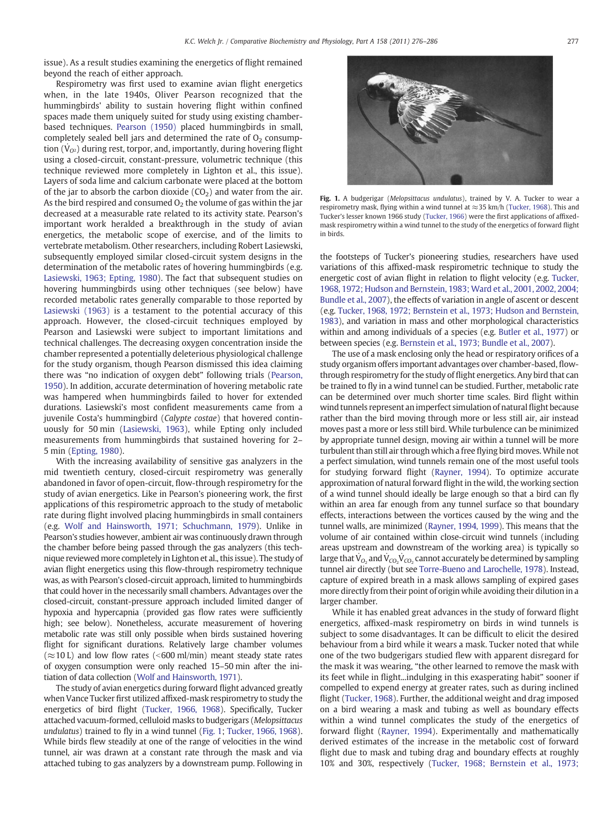issue). As a result studies examining the energetics of flight remained beyond the reach of either approach.

Respirometry was first used to examine avian flight energetics when, in the late 1940s, Oliver Pearson recognized that the hummingbirds' ability to sustain hovering flight within confined spaces made them uniquely suited for study using existing chamberbased techniques. [Pearson \(1950\)](#page-10-0) placed hummingbirds in small, completely sealed bell jars and determined the rate of  $O<sub>2</sub>$  consumption  $(\dot{\mathsf{V}}_{O^2})$  during rest, torpor, and, importantly, during hovering flight using a closed-circuit, constant-pressure, volumetric technique (this technique reviewed more completely in Lighton et al., this issue). Layers of soda lime and calcium carbonate were placed at the bottom of the jar to absorb the carbon dioxide  $(CO<sub>2</sub>)$  and water from the air. As the bird respired and consumed  $O_2$  the volume of gas within the jar decreased at a measurable rate related to its activity state. Pearson's important work heralded a breakthrough in the study of avian energetics, the metabolic scope of exercise, and of the limits to vertebrate metabolism. Other researchers, including Robert Lasiewski, subsequently employed similar closed-circuit system designs in the determination of the metabolic rates of hovering hummingbirds (e.g. [Lasiewski, 1963; Epting, 1980\)](#page-10-0). The fact that subsequent studies on hovering hummingbirds using other techniques (see below) have recorded metabolic rates generally comparable to those reported by [Lasiewski \(1963\)](#page-10-0) is a testament to the potential accuracy of this approach. However, the closed-circuit techniques employed by Pearson and Lasiewski were subject to important limitations and technical challenges. The decreasing oxygen concentration inside the chamber represented a potentially deleterious physiological challenge for the study organism, though Pearson dismissed this idea claiming there was "no indication of oxygen debt" following trials [\(Pearson,](#page-10-0) [1950\)](#page-10-0). In addition, accurate determination of hovering metabolic rate was hampered when hummingbirds failed to hover for extended durations. Lasiewski's most confident measurements came from a juvenile Costa's hummingbird (Calypte costae) that hovered continuously for 50 min [\(Lasiewski, 1963\)](#page-10-0), while Epting only included measurements from hummingbirds that sustained hovering for 2– 5 min [\(Epting, 1980](#page-10-0)).

With the increasing availability of sensitive gas analyzers in the mid twentieth century, closed-circuit respirometry was generally abandoned in favor of open-circuit, flow-through respirometry for the study of avian energetics. Like in Pearson's pioneering work, the first applications of this respirometric approach to the study of metabolic rate during flight involved placing hummingbirds in small containers (e.g. [Wolf and Hainsworth, 1971; Schuchmann, 1979](#page-10-0)). Unlike in Pearson's studies however, ambient air was continuously drawn through the chamber before being passed through the gas analyzers (this technique reviewed more completely in Lighton et al., this issue). The study of avian flight energetics using this flow-through respirometry technique was, as with Pearson's closed-circuit approach, limited to hummingbirds that could hover in the necessarily small chambers. Advantages over the closed-circuit, constant-pressure approach included limited danger of hypoxia and hypercapnia (provided gas flow rates were sufficiently high; see below). Nonetheless, accurate measurement of hovering metabolic rate was still only possible when birds sustained hovering flight for significant durations. Relatively large chamber volumes  $(\approx 10 \text{ L})$  and low flow rates (<600 ml/min) meant steady state rates of oxygen consumption were only reached 15–50 min after the initiation of data collection ([Wolf and Hainsworth, 1971\)](#page-10-0).

The study of avian energetics during forward flight advanced greatly when Vance Tucker first utilized affixed-mask respirometry to study the energetics of bird flight [\(Tucker, 1966, 1968\)](#page-10-0). Specifically, Tucker attached vacuum-formed, celluloid masks to budgerigars (Melopsittacus undulatus) trained to fly in a wind tunnel (Fig. 1; [Tucker, 1966, 1968](#page-10-0)). While birds flew steadily at one of the range of velocities in the wind tunnel, air was drawn at a constant rate through the mask and via attached tubing to gas analyzers by a downstream pump. Following in



Fig. 1. A budgerigar (Melopsittacus undulatus), trained by V. A. Tucker to wear a respirometry mask, flying within a wind tunnel at  $\approx$  35 km/h ([Tucker, 1968](#page-10-0)). This and Tucker's lesser known 1966 study [\(Tucker, 1966](#page-10-0)) were the first applications of affixedmask respirometry within a wind tunnel to the study of the energetics of forward flight in birds.

the footsteps of Tucker's pioneering studies, researchers have used variations of this affixed-mask respirometric technique to study the energetic cost of avian flight in relation to flight velocity (e.g. [Tucker,](#page-10-0) [1968, 1972; Hudson and Bernstein, 1983; Ward et al., 2001, 2002, 2004;](#page-10-0) [Bundle et al., 2007](#page-10-0)), the effects of variation in angle of ascent or descent (e.g. [Tucker, 1968, 1972; Bernstein et al., 1973; Hudson and Bernstein,](#page-10-0) [1983](#page-10-0)), and variation in mass and other morphological characteristics within and among individuals of a species (e.g. [Butler et al., 1977\)](#page-10-0) or between species (e.g. [Bernstein et al., 1973; Bundle et al., 2007](#page-10-0)).

The use of a mask enclosing only the head or respiratory orifices of a study organism offers important advantages over chamber-based, flowthrough respirometry for the study of flight energetics. Any bird that can be trained to fly in a wind tunnel can be studied. Further, metabolic rate can be determined over much shorter time scales. Bird flight within wind tunnels represent an imperfect simulation of natural flight because rather than the bird moving through more or less still air, air instead moves past a more or less still bird. While turbulence can be minimized by appropriate tunnel design, moving air within a tunnel will be more turbulent than still air through which a free flying bird moves.While not a perfect simulation, wind tunnels remain one of the most useful tools for studying forward flight [\(Rayner, 1994\)](#page-10-0). To optimize accurate approximation of natural forward flight in the wild, the working section of a wind tunnel should ideally be large enough so that a bird can fly within an area far enough from any tunnel surface so that boundary effects, interactions between the vortices caused by the wing and the tunnel walls, are minimized [\(Rayner, 1994, 1999\)](#page-10-0). This means that the volume of air contained within close-circuit wind tunnels (including areas upstream and downstream of the working area) is typically so large that  $\dot{\mathsf{V}}_{O_2}$  and  $\dot{\mathsf{V}}_{CO_2}\dot{\mathsf{V}}_{CO_2}$  cannot accurately be determined by sampling tunnel air directly (but see [Torre-Bueno and Larochelle, 1978\)](#page-10-0). Instead, capture of expired breath in a mask allows sampling of expired gases more directly from their point of origin while avoiding their dilution in a larger chamber.

While it has enabled great advances in the study of forward flight energetics, affixed-mask respirometry on birds in wind tunnels is subject to some disadvantages. It can be difficult to elicit the desired behaviour from a bird while it wears a mask. Tucker noted that while one of the two budgerigars studied flew with apparent disregard for the mask it was wearing, "the other learned to remove the mask with its feet while in flight...indulging in this exasperating habit" sooner if compelled to expend energy at greater rates, such as during inclined flight ([Tucker, 1968](#page-10-0)). Further, the additional weight and drag imposed on a bird wearing a mask and tubing as well as boundary effects within a wind tunnel complicates the study of the energetics of forward flight [\(Rayner, 1994](#page-10-0)). Experimentally and mathematically derived estimates of the increase in the metabolic cost of forward flight due to mask and tubing drag and boundary effects at roughly 10% and 30%, respectively [\(Tucker, 1968; Bernstein et al., 1973;](#page-10-0)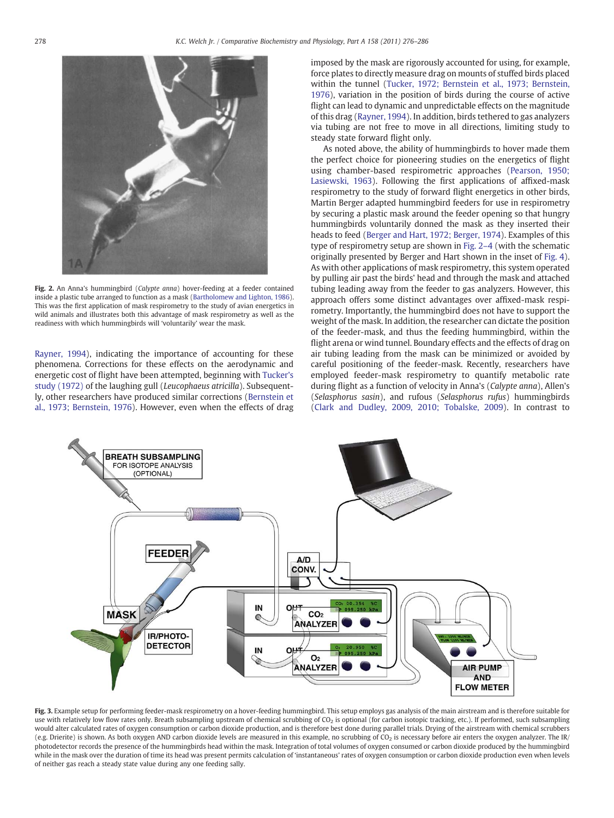<span id="page-2-0"></span>

Fig. 2. An Anna's hummingbird (Calypte anna) hover-feeding at a feeder contained inside a plastic tube arranged to function as a mask [\(Bartholomew and Lighton, 1986](#page-9-0)). This was the first application of mask respirometry to the study of avian energetics in wild animals and illustrates both this advantage of mask respirometry as well as the readiness with which hummingbirds will 'voluntarily' wear the mask.

[Rayner, 1994](#page-10-0)), indicating the importance of accounting for these phenomena. Corrections for these effects on the aerodynamic and energetic cost of flight have been attempted, beginning with [Tucker's](#page-10-0) [study \(1972\)](#page-10-0) of the laughing gull (Leucophaeus atricilla). Subsequently, other researchers have produced similar corrections ([Bernstein et](#page-10-0) [al., 1973; Bernstein, 1976\)](#page-10-0). However, even when the effects of drag imposed by the mask are rigorously accounted for using, for example, force plates to directly measure drag on mounts of stuffed birds placed within the tunnel [\(Tucker, 1972; Bernstein et al., 1973; Bernstein,](#page-10-0) [1976\)](#page-10-0), variation in the position of birds during the course of active flight can lead to dynamic and unpredictable effects on the magnitude of this drag [\(Rayner, 1994](#page-10-0)). In addition, birds tethered to gas analyzers via tubing are not free to move in all directions, limiting study to steady state forward flight only.

As noted above, the ability of hummingbirds to hover made them the perfect choice for pioneering studies on the energetics of flight using chamber-based respirometric approaches [\(Pearson, 1950;](#page-10-0) [Lasiewski, 1963\)](#page-10-0). Following the first applications of affixed-mask respirometry to the study of forward flight energetics in other birds, Martin Berger adapted hummingbird feeders for use in respirometry by securing a plastic mask around the feeder opening so that hungry hummingbirds voluntarily donned the mask as they inserted their heads to feed ([Berger and Hart, 1972; Berger, 1974\)](#page-10-0). Examples of this type of respirometry setup are shown in Fig. 2–4 (with the schematic originally presented by Berger and Hart shown in the inset of [Fig. 4](#page-3-0)). As with other applications of mask respirometry, this system operated by pulling air past the birds' head and through the mask and attached tubing leading away from the feeder to gas analyzers. However, this approach offers some distinct advantages over affixed-mask respirometry. Importantly, the hummingbird does not have to support the weight of the mask. In addition, the researcher can dictate the position of the feeder-mask, and thus the feeding hummingbird, within the flight arena or wind tunnel. Boundary effects and the effects of drag on air tubing leading from the mask can be minimized or avoided by careful positioning of the feeder-mask. Recently, researchers have employed feeder-mask respirometry to quantify metabolic rate during flight as a function of velocity in Anna's (Calypte anna), Allen's (Selasphorus sasin), and rufous (Selasphorus rufus) hummingbirds [\(Clark and Dudley, 2009, 2010; Tobalske, 2009](#page-10-0)). In contrast to



Fig. 3. Example setup for performing feeder-mask respirometry on a hover-feeding hummingbird. This setup employs gas analysis of the main airstream and is therefore suitable for use with relatively low flow rates only. Breath subsampling upstream of chemical scrubbing of CO<sub>2</sub> is optional (for carbon isotopic tracking, etc.). If performed, such subsampling would alter calculated rates of oxygen consumption or carbon dioxide production, and is therefore best done during parallel trials. Drying of the airstream with chemical scrubbers (e.g. Drierite) is shown. As both oxygen AND carbon dioxide levels are measured in this example, no scrubbing of CO<sub>2</sub> is necessary before air enters the oxygen analyzer. The IR/ photodetector records the presence of the hummingbirds head within the mask. Integration of total volumes of oxygen consumed or carbon dioxide produced by the hummingbird while in the mask over the duration of time its head was present permits calculation of 'instantaneous' rates of oxygen consumption or carbon dioxide production even when levels of neither gas reach a steady state value during any one feeding sally.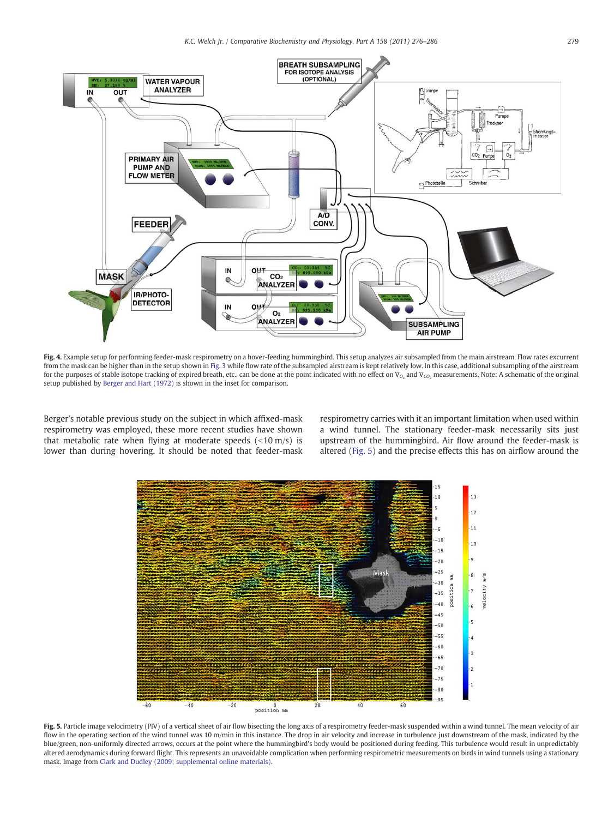<span id="page-3-0"></span>

Fig. 4. Example setup for performing feeder-mask respirometry on a hover-feeding hummingbird. This setup analyzes air subsampled from the main airstream. Flow rates excurrent from the mask can be higher than in the setup shown in [Fig. 3](#page-2-0) while flow rate of the subsampled airstream is kept relatively low. In this case, additional subsampling of the airstream for the purposes of stable isotope tracking of expired breath, etc., can be done at the point indicated with no effect on  $\mathsf{V}_{O_2}$  and  $\mathsf{V}_{Co_2}$  measurements. Note: A schematic of the original setup published by [Berger and Hart \(1972\)](#page-10-0) is shown in the inset for comparison.

Berger's notable previous study on the subject in which affixed-mask respirometry was employed, these more recent studies have shown that metabolic rate when flying at moderate speeds  $\left($  < 10 m/s) is lower than during hovering. It should be noted that feeder-mask respirometry carries with it an important limitation when used within a wind tunnel. The stationary feeder-mask necessarily sits just upstream of the hummingbird. Air flow around the feeder-mask is altered (Fig. 5) and the precise effects this has on airflow around the



Fig. 5. Particle image velocimetry (PIV) of a vertical sheet of air flow bisecting the long axis of a respirometry feeder-mask suspended within a wind tunnel. The mean velocity of air flow in the operating section of the wind tunnel was 10 m/min in this instance. The drop in air velocity and increase in turbulence just downstream of the mask, indicated by the blue/green, non-uniformly directed arrows, occurs at the point where the hummingbird's body would be positioned during feeding. This turbulence would result in unpredictably altered aerodynamics during forward flight. This represents an unavoidable complication when performing respirometric measurements on birds in wind tunnels using a stationary mask. Image from [Clark and Dudley \(2009; supplemental online materials\).](#page-10-0)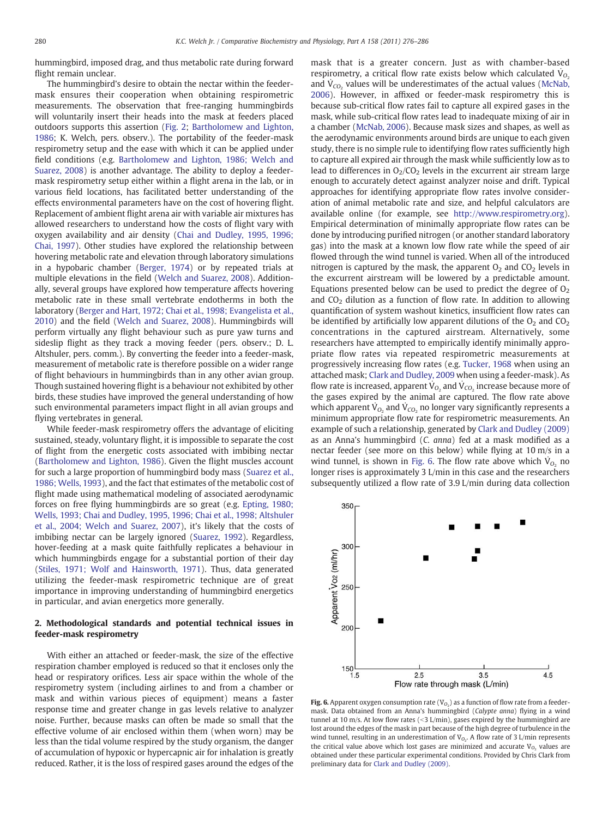<span id="page-4-0"></span>hummingbird, imposed drag, and thus metabolic rate during forward flight remain unclear.

The hummingbird's desire to obtain the nectar within the feedermask ensures their cooperation when obtaining respirometric measurements. The observation that free-ranging hummingbirds will voluntarily insert their heads into the mask at feeders placed outdoors supports this assertion [\(Fig. 2;](#page-2-0) [Bartholomew and Lighton,](#page-9-0) [1986;](#page-9-0) K. Welch, pers. observ.). The portability of the feeder-mask respirometry setup and the ease with which it can be applied under field conditions (e.g. [Bartholomew and Lighton, 1986; Welch and](#page-9-0) [Suarez, 2008](#page-9-0)) is another advantage. The ability to deploy a feedermask respirometry setup either within a flight arena in the lab, or in various field locations, has facilitated better understanding of the effects environmental parameters have on the cost of hovering flight. Replacement of ambient flight arena air with variable air mixtures has allowed researchers to understand how the costs of flight vary with oxygen availability and air density ([Chai and Dudley, 1995, 1996;](#page-10-0) [Chai, 1997](#page-10-0)). Other studies have explored the relationship between hovering metabolic rate and elevation through laboratory simulations in a hypobaric chamber [\(Berger, 1974\)](#page-10-0) or by repeated trials at multiple elevations in the field [\(Welch and Suarez, 2008](#page-10-0)). Additionally, several groups have explored how temperature affects hovering metabolic rate in these small vertebrate endotherms in both the laboratory ([Berger and Hart, 1972; Chai et al., 1998; Evangelista et al.,](#page-10-0) [2010\)](#page-10-0) and the field [\(Welch and Suarez, 2008](#page-10-0)). Hummingbirds will perform virtually any flight behaviour such as pure yaw turns and sideslip flight as they track a moving feeder (pers. observ.; D. L. Altshuler, pers. comm.). By converting the feeder into a feeder-mask, measurement of metabolic rate is therefore possible on a wider range of flight behaviours in hummingbirds than in any other avian group. Though sustained hovering flight is a behaviour not exhibited by other birds, these studies have improved the general understanding of how such environmental parameters impact flight in all avian groups and flying vertebrates in general.

While feeder-mask respirometry offers the advantage of eliciting sustained, steady, voluntary flight, it is impossible to separate the cost of flight from the energetic costs associated with imbibing nectar [\(Bartholomew and Lighton, 1986\)](#page-9-0). Given the flight muscles account for such a large proportion of hummingbird body mass [\(Suarez et al.,](#page-10-0) [1986; Wells, 1993\)](#page-10-0), and the fact that estimates of the metabolic cost of flight made using mathematical modeling of associated aerodynamic forces on free flying hummingbirds are so great (e.g. [Epting, 1980;](#page-10-0) [Wells, 1993; Chai and Dudley, 1995, 1996; Chai et al., 1998; Altshuler](#page-10-0) [et al., 2004; Welch and Suarez, 2007](#page-10-0)), it's likely that the costs of imbibing nectar can be largely ignored ([Suarez, 1992](#page-10-0)). Regardless, hover-feeding at a mask quite faithfully replicates a behaviour in which hummingbirds engage for a substantial portion of their day [\(Stiles, 1971; Wolf and Hainsworth, 1971](#page-10-0)). Thus, data generated utilizing the feeder-mask respirometric technique are of great importance in improving understanding of hummingbird energetics in particular, and avian energetics more generally.

#### 2. Methodological standards and potential technical issues in feeder-mask respirometry

With either an attached or feeder-mask, the size of the effective respiration chamber employed is reduced so that it encloses only the head or respiratory orifices. Less air space within the whole of the respirometry system (including airlines to and from a chamber or mask and within various pieces of equipment) means a faster response time and greater change in gas levels relative to analyzer noise. Further, because masks can often be made so small that the effective volume of air enclosed within them (when worn) may be less than the tidal volume respired by the study organism, the danger of accumulation of hypoxic or hypercapnic air for inhalation is greatly reduced. Rather, it is the loss of respired gases around the edges of the mask that is a greater concern. Just as with chamber-based respirometry, a critical flow rate exists below which calculated  $\dot{V}_{O_2}$ and  $\dot{V}_{CO_2}$  values will be underestimates of the actual values [\(McNab,](#page-10-0) [2006\)](#page-10-0). However, in affixed or feeder-mask respirometry this is because sub-critical flow rates fail to capture all expired gases in the mask, while sub-critical flow rates lead to inadequate mixing of air in a chamber ([McNab, 2006](#page-10-0)). Because mask sizes and shapes, as well as the aerodynamic environments around birds are unique to each given study, there is no simple rule to identifying flow rates sufficiently high to capture all expired air through the mask while sufficiently low as to lead to differences in  $O_2/CO_2$  levels in the excurrent air stream large enough to accurately detect against analyzer noise and drift. Typical approaches for identifying appropriate flow rates involve consideration of animal metabolic rate and size, and helpful calculators are available online (for example, see <http://www.respirometry.org>). Empirical determination of minimally appropriate flow rates can be done by introducing purified nitrogen (or another standard laboratory gas) into the mask at a known low flow rate while the speed of air flowed through the wind tunnel is varied. When all of the introduced nitrogen is captured by the mask, the apparent  $O<sub>2</sub>$  and  $CO<sub>2</sub>$  levels in the excurrent airstream will be lowered by a predictable amount. Equations presented below can be used to predict the degree of  $O<sub>2</sub>$ and  $CO<sub>2</sub>$  dilution as a function of flow rate. In addition to allowing quantification of system washout kinetics, insufficient flow rates can be identified by artificially low apparent dilutions of the  $O<sub>2</sub>$  and  $CO<sub>2</sub>$ concentrations in the captured airstream. Alternatively, some researchers have attempted to empirically identify minimally appropriate flow rates via repeated respirometric measurements at progressively increasing flow rates (e.g. [Tucker, 1968](#page-10-0) when using an attached mask; [Clark and Dudley, 2009](#page-10-0) when using a feeder-mask). As flow rate is increased, apparent  $\dot{\vee}_{O_2}$  and  $\dot{\vee}_{CO_2}$  increase because more of the gases expired by the animal are captured. The flow rate above which apparent  $\dot{V}_{O_2}$  and  $\dot{V}_{CO_2}$  no longer vary significantly represents a minimum appropriate flow rate for respirometric measurements. An example of such a relationship, generated by [Clark and Dudley \(2009\)](#page-10-0) as an Anna's hummingbird (C. anna) fed at a mask modified as a nectar feeder (see more on this below) while flying at 10 m/s in a wind tunnel, is shown in Fig. 6. The flow rate above which  $\dot{V}_{O_2}$  no longer rises is approximately 3 L/min in this case and the researchers subsequently utilized a flow rate of 3.9 L/min during data collection



Fig. 6. Apparent oxygen consumption rate ( $V_{O<sub>2</sub>}$ ) as a function of flow rate from a feedermask. Data obtained from an Anna's hummingbird (Calypte anna) flying in a wind tunnel at 10 m/s. At low flow rates  $(<$ 3 L/min), gases expired by the hummingbird are lost around the edges of the mask in part because of the high degree of turbulence in the wind tunnel, resulting in an underestimation of  $V_{O_2}$ . A flow rate of 3 L/min represents the critical value above which lost gases are minimized and accurate  $V_{O_2}$  values are obtained under these particular experimental conditions. Provided by Chris Clark from preliminary data for [Clark and Dudley \(2009\)](#page-10-0).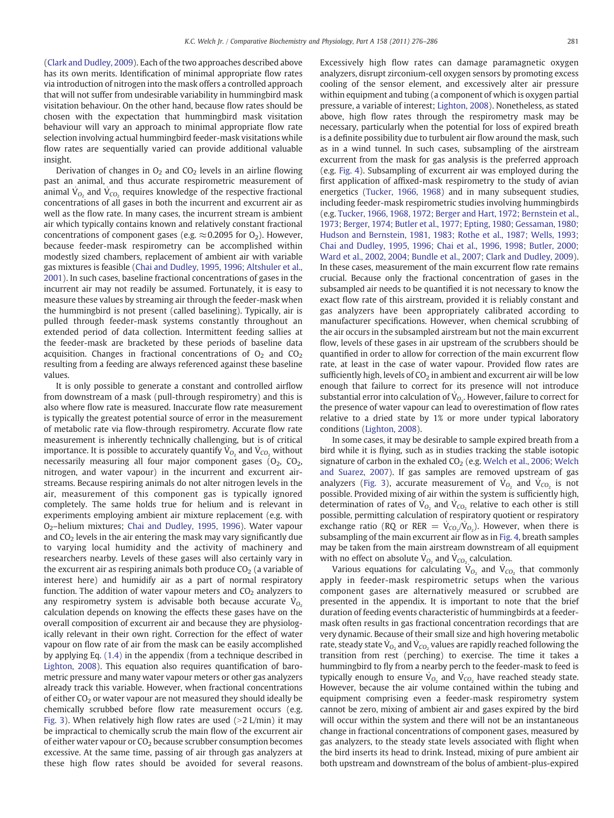[\(Clark and Dudley, 2009](#page-10-0)). Each of the two approaches described above has its own merits. Identification of minimal appropriate flow rates via introduction of nitrogen into the mask offers a controlled approach that will not suffer from undesirable variability in hummingbird mask visitation behaviour. On the other hand, because flow rates should be chosen with the expectation that hummingbird mask visitation behaviour will vary an approach to minimal appropriate flow rate selection involving actual hummingbird feeder-mask visitations while flow rates are sequentially varied can provide additional valuable insight.

Derivation of changes in  $O_2$  and  $CO_2$  levels in an airline flowing past an animal, and thus accurate respirometric measurement of animal  $\dot{\mathsf{V}}_{O_2}$  and  $\dot{\mathsf{V}}_{CO_2}$  requires knowledge of the respective fractional concentrations of all gases in both the incurrent and excurrent air as well as the flow rate. In many cases, the incurrent stream is ambient air which typically contains known and relatively constant fractional concentrations of component gases (e.g.  $\approx$  0.2095 for O<sub>2</sub>). However, because feeder-mask respirometry can be accomplished within modestly sized chambers, replacement of ambient air with variable gas mixtures is feasible ([Chai and Dudley, 1995, 1996; Altshuler et al.,](#page-10-0) [2001\)](#page-10-0). In such cases, baseline fractional concentrations of gases in the incurrent air may not readily be assumed. Fortunately, it is easy to measure these values by streaming air through the feeder-mask when the hummingbird is not present (called baselining). Typically, air is pulled through feeder-mask systems constantly throughout an extended period of data collection. Intermittent feeding sallies at the feeder-mask are bracketed by these periods of baseline data acquisition. Changes in fractional concentrations of  $O<sub>2</sub>$  and  $CO<sub>2</sub>$ resulting from a feeding are always referenced against these baseline values.

It is only possible to generate a constant and controlled airflow from downstream of a mask (pull-through respirometry) and this is also where flow rate is measured. Inaccurate flow rate measurement is typically the greatest potential source of error in the measurement of metabolic rate via flow-through respirometry. Accurate flow rate measurement is inherently technically challenging, but is of critical importance. It is possible to accurately quantify  $\dot{\mathsf{V}}_{O_2}$  and  $\dot{\mathsf{V}}_{CO_2}$  without necessarily measuring all four major component gases  $(O_2, CO_2)$ , nitrogen, and water vapour) in the incurrent and excurrent airstreams. Because respiring animals do not alter nitrogen levels in the air, measurement of this component gas is typically ignored completely. The same holds true for helium and is relevant in experiments employing ambient air mixture replacement (e.g. with O2–helium mixtures; [Chai and Dudley, 1995, 1996](#page-10-0)). Water vapour and  $CO<sub>2</sub>$  levels in the air entering the mask may vary significantly due to varying local humidity and the activity of machinery and researchers nearby. Levels of these gases will also certainly vary in the excurrent air as respiring animals both produce  $CO<sub>2</sub>$  (a variable of interest here) and humidify air as a part of normal respiratory function. The addition of water vapour meters and  $CO<sub>2</sub>$  analyzers to any respirometry system is advisable both because accurate  $\dot{\mathsf{V}}_{O_2}$ calculation depends on knowing the effects these gases have on the overall composition of excurrent air and because they are physiologically relevant in their own right. Correction for the effect of water vapour on flow rate of air from the mask can be easily accomplished by applying Eq. (1.4) in the appendix (from a technique described in [Lighton, 2008\)](#page-10-0). This equation also requires quantification of barometric pressure and many water vapour meters or other gas analyzers already track this variable. However, when fractional concentrations of either  $CO<sub>2</sub>$  or water vapour are not measured they should ideally be chemically scrubbed before flow rate measurement occurs (e.g. [Fig. 3\)](#page-2-0). When relatively high flow rates are used  $(>2$  L/min) it may be impractical to chemically scrub the main flow of the excurrent air of either water vapour or  $CO<sub>2</sub>$  because scrubber consumption becomes excessive. At the same time, passing of air through gas analyzers at these high flow rates should be avoided for several reasons. Excessively high flow rates can damage paramagnetic oxygen analyzers, disrupt zirconium-cell oxygen sensors by promoting excess cooling of the sensor element, and excessively alter air pressure within equipment and tubing (a component of which is oxygen partial pressure, a variable of interest; [Lighton, 2008](#page-10-0)). Nonetheless, as stated above, high flow rates through the respirometry mask may be necessary, particularly when the potential for loss of expired breath is a definite possibility due to turbulent air flow around the mask, such as in a wind tunnel. In such cases, subsampling of the airstream excurrent from the mask for gas analysis is the preferred approach (e.g. [Fig. 4\)](#page-3-0). Subsampling of excurrent air was employed during the first application of affixed-mask respirometry to the study of avian energetics [\(Tucker, 1966, 1968\)](#page-10-0) and in many subsequent studies, including feeder-mask respirometric studies involving hummingbirds (e.g. [Tucker, 1966, 1968, 1972; Berger and Hart, 1972; Bernstein et al.,](#page-10-0) [1973; Berger, 1974; Butler et al., 1977; Epting, 1980; Gessaman, 1980;](#page-10-0) [Hudson and Bernstein, 1981, 1983; Rothe et al., 1987; Wells, 1993;](#page-10-0) [Chai and Dudley, 1995, 1996; Chai et al., 1996, 1998; Butler, 2000;](#page-10-0) [Ward et al., 2002, 2004; Bundle et al., 2007; Clark and Dudley, 2009](#page-10-0)). In these cases, measurement of the main excurrent flow rate remains crucial. Because only the fractional concentration of gases in the subsampled air needs to be quantified it is not necessary to know the exact flow rate of this airstream, provided it is reliably constant and gas analyzers have been appropriately calibrated according to manufacturer specifications. However, when chemical scrubbing of the air occurs in the subsampled airstream but not the main excurrent flow, levels of these gases in air upstream of the scrubbers should be quantified in order to allow for correction of the main excurrent flow rate, at least in the case of water vapour. Provided flow rates are sufficiently high, levels of  $CO<sub>2</sub>$  in ambient and excurrent air will be low enough that failure to correct for its presence will not introduce substantial error into calculation of  $\dot{V}_{O_2}$ . However, failure to correct for the presence of water vapour can lead to overestimation of flow rates relative to a dried state by 1% or more under typical laboratory conditions [\(Lighton, 2008](#page-10-0)).

In some cases, it may be desirable to sample expired breath from a bird while it is flying, such as in studies tracking the stable isotopic signature of carbon in the exhaled  $CO<sub>2</sub>$  (e.g. [Welch et al., 2006; Welch](#page-10-0) [and Suarez, 2007](#page-10-0)). If gas samples are removed upstream of gas analyzers ([Fig. 3](#page-2-0)), accurate measurement of  $\dot{V}_{O_2}$  and  $\dot{V}_{CO_2}$  is not possible. Provided mixing of air within the system is sufficiently high, determination of rates of  $\dot{V}_{O_2}$  and  $\dot{V}_{CO_2}$  relative to each other is still possible, permitting calculation of respiratory quotient or respiratory exchange ratio (RQ or RER =  $\dot{V}_{CO_2}/\dot{V}_{O_2}$ ). However, when there is subsampling of the main excurrent air flow as in [Fig. 4](#page-3-0), breath samples may be taken from the main airstream downstream of all equipment with no effect on absolute  $\dot{V}_{O_2}$  and  $\dot{V}_{CO_2}$  calculation.

Various equations for calculating  $V_{O_2}$  and  $V_{CO_2}$  that commonly apply in feeder-mask respirometric setups when the various component gases are alternatively measured or scrubbed are presented in the appendix. It is important to note that the brief duration of feeding events characteristic of hummingbirds at a feedermask often results in gas fractional concentration recordings that are very dynamic. Because of their small size and high hovering metabolic rate, steady state  $\dot{\mathsf{V}}_{O_2}$  and  $\dot{\mathsf{V}}_{CO_2}$  values are rapidly reached following the transition from rest (perching) to exercise. The time it takes a hummingbird to fly from a nearby perch to the feeder-mask to feed is typically enough to ensure  $\dot{V}_{O_2}$  and  $\dot{V}_{CO_2}$  have reached steady state. However, because the air volume contained within the tubing and equipment comprising even a feeder-mask respirometry system cannot be zero, mixing of ambient air and gases expired by the bird will occur within the system and there will not be an instantaneous change in fractional concentrations of component gases, measured by gas analyzers, to the steady state levels associated with flight when the bird inserts its head to drink. Instead, mixing of pure ambient air both upstream and downstream of the bolus of ambient-plus-expired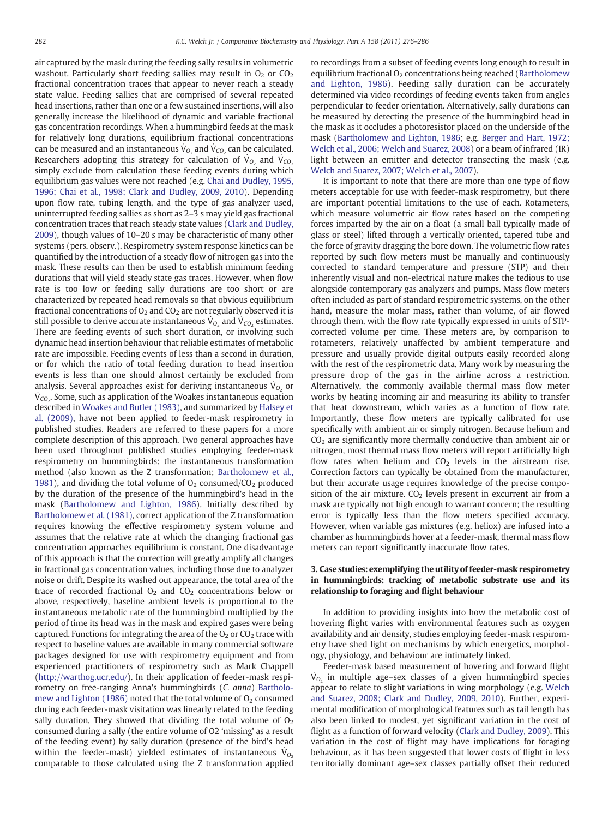air captured by the mask during the feeding sally results in volumetric washout. Particularly short feeding sallies may result in  $O<sub>2</sub>$  or  $CO<sub>2</sub>$ fractional concentration traces that appear to never reach a steady state value. Feeding sallies that are comprised of several repeated head insertions, rather than one or a few sustained insertions, will also generally increase the likelihood of dynamic and variable fractional gas concentration recordings. When a hummingbird feeds at the mask for relatively long durations, equilibrium fractional concentrations can be measured and an instantaneous  $\dot{\vee}_{O_2}$  and  $\dot{\vee}_{CO_2}$  can be calculated. Researchers adopting this strategy for calculation of  $\dot{V}_{O_2}$  and  $\dot{V}_{CO_2}$ simply exclude from calculation those feeding events during which equilibrium gas values were not reached (e.g. [Chai and Dudley, 1995,](#page-10-0) [1996; Chai et al., 1998; Clark and Dudley, 2009, 2010\)](#page-10-0). Depending upon flow rate, tubing length, and the type of gas analyzer used, uninterrupted feeding sallies as short as 2–3 s may yield gas fractional concentration traces that reach steady state values [\(Clark and Dudley,](#page-10-0) [2009\)](#page-10-0), though values of 10–20 s may be characteristic of many other systems (pers. observ.). Respirometry system response kinetics can be quantified by the introduction of a steady flow of nitrogen gas into the mask. These results can then be used to establish minimum feeding durations that will yield steady state gas traces. However, when flow rate is too low or feeding sally durations are too short or are characterized by repeated head removals so that obvious equilibrium fractional concentrations of  $O_2$  and  $CO_2$  are not regularly observed it is still possible to derive accurate instantaneous  $\dot{\mathsf{V}}_{O_2}$  and  $\dot{\mathsf{V}}_{CO_2}$  estimates. There are feeding events of such short duration, or involving such dynamic head insertion behaviour that reliable estimates of metabolic rate are impossible. Feeding events of less than a second in duration, or for which the ratio of total feeding duration to head insertion events is less than one should almost certainly be excluded from analysis. Several approaches exist for deriving instantaneous  $\dot{\mathsf{V}}_{O_2}$  or  $\dot{\rm V}_{\rm CO_2}$ . Some, such as application of the Woakes instantaneous equation described in [Woakes and Butler \(1983\),](#page-10-0) and summarized by [Halsey et](#page-10-0) [al. \(2009\),](#page-10-0) have not been applied to feeder-mask respirometry in published studies. Readers are referred to these papers for a more complete description of this approach. Two general approaches have been used throughout published studies employing feeder-mask respirometry on hummingbirds: the instantaneous transformation method (also known as the Z transformation; [Bartholomew et al.,](#page-9-0) [1981\)](#page-9-0), and dividing the total volume of  $O<sub>2</sub>$  consumed/CO<sub>2</sub> produced by the duration of the presence of the hummingbird's head in the mask [\(Bartholomew and Lighton, 1986](#page-9-0)). Initially described by [Bartholomew et al. \(1981\),](#page-9-0) correct application of the Z transformation requires knowing the effective respirometry system volume and assumes that the relative rate at which the changing fractional gas concentration approaches equilibrium is constant. One disadvantage of this approach is that the correction will greatly amplify all changes in fractional gas concentration values, including those due to analyzer noise or drift. Despite its washed out appearance, the total area of the trace of recorded fractional  $O_2$  and  $CO_2$  concentrations below or above, respectively, baseline ambient levels is proportional to the instantaneous metabolic rate of the hummingbird multiplied by the period of time its head was in the mask and expired gases were being captured. Functions for integrating the area of the  $O_2$  or  $CO_2$  trace with respect to baseline values are available in many commercial software packages designed for use with respirometry equipment and from experienced practitioners of respirometry such as Mark Chappell [\(http://warthog.ucr.edu/](http://warthog.ucr.edu/)). In their application of feeder-mask respirometry on free-ranging Anna's hummingbirds (C. anna) [Bartholo](#page-9-0)[mew and Lighton \(1986\)](#page-9-0) noted that the total volume of  $O_2$  consumed during each feeder-mask visitation was linearly related to the feeding sally duration. They showed that dividing the total volume of  $O<sub>2</sub>$ consumed during a sally (the entire volume of O2 'missing' as a result of the feeding event) by sally duration (presence of the bird's head within the feeder-mask) yielded estimates of instantaneous  $\dot{V}_{O_2}$ comparable to those calculated using the Z transformation applied to recordings from a subset of feeding events long enough to result in equilibrium fractional  $O<sub>2</sub>$  concentrations being reached ([Bartholomew](#page-9-0) [and Lighton, 1986\)](#page-9-0). Feeding sally duration can be accurately determined via video recordings of feeding events taken from angles perpendicular to feeder orientation. Alternatively, sally durations can be measured by detecting the presence of the hummingbird head in the mask as it occludes a photoresistor placed on the underside of the mask [\(Bartholomew and Lighton, 1986;](#page-9-0) e.g. [Berger and Hart, 1972;](#page-10-0) [Welch et al., 2006; Welch and Suarez, 2008](#page-10-0)) or a beam of infrared (IR) light between an emitter and detector transecting the mask (e.g. [Welch and Suarez, 2007; Welch et al., 2007](#page-10-0)).

It is important to note that there are more than one type of flow meters acceptable for use with feeder-mask respirometry, but there are important potential limitations to the use of each. Rotameters, which measure volumetric air flow rates based on the competing forces imparted by the air on a float (a small ball typically made of glass or steel) lifted through a vertically oriented, tapered tube and the force of gravity dragging the bore down. The volumetric flow rates reported by such flow meters must be manually and continuously corrected to standard temperature and pressure (STP) and their inherently visual and non-electrical nature makes the tedious to use alongside contemporary gas analyzers and pumps. Mass flow meters often included as part of standard respirometric systems, on the other hand, measure the molar mass, rather than volume, of air flowed through them, with the flow rate typically expressed in units of STPcorrected volume per time. These meters are, by comparison to rotameters, relatively unaffected by ambient temperature and pressure and usually provide digital outputs easily recorded along with the rest of the respirometric data. Many work by measuring the pressure drop of the gas in the airline across a restriction. Alternatively, the commonly available thermal mass flow meter works by heating incoming air and measuring its ability to transfer that heat downstream, which varies as a function of flow rate. Importantly, these flow meters are typically calibrated for use specifically with ambient air or simply nitrogen. Because helium and  $CO<sub>2</sub>$  are significantly more thermally conductive than ambient air or nitrogen, most thermal mass flow meters will report artificially high flow rates when helium and  $CO<sub>2</sub>$  levels in the airstream rise. Correction factors can typically be obtained from the manufacturer, but their accurate usage requires knowledge of the precise composition of the air mixture.  $CO<sub>2</sub>$  levels present in excurrent air from a mask are typically not high enough to warrant concern; the resulting error is typically less than the flow meters specified accuracy. However, when variable gas mixtures (e.g. heliox) are infused into a chamber as hummingbirds hover at a feeder-mask, thermal mass flow meters can report significantly inaccurate flow rates.

#### 3. Case studies: exemplifying the utility of feeder-mask respirometry in hummingbirds: tracking of metabolic substrate use and its relationship to foraging and flight behaviour

In addition to providing insights into how the metabolic cost of hovering flight varies with environmental features such as oxygen availability and air density, studies employing feeder-mask respirometry have shed light on mechanisms by which energetics, morphology, physiology, and behaviour are intimately linked.

Feeder-mask based measurement of hovering and forward flight  $\dot{V}_{O_2}$  in multiple age–sex classes of a given hummingbird species appear to relate to slight variations in wing morphology (e.g. [Welch](#page-10-0) [and Suarez, 2008; Clark and Dudley, 2009, 2010](#page-10-0)). Further, experimental modification of morphological features such as tail length has also been linked to modest, yet significant variation in the cost of flight as a function of forward velocity ([Clark and Dudley, 2009](#page-10-0)). This variation in the cost of flight may have implications for foraging behaviour, as it has been suggested that lower costs of flight in less territorially dominant age–sex classes partially offset their reduced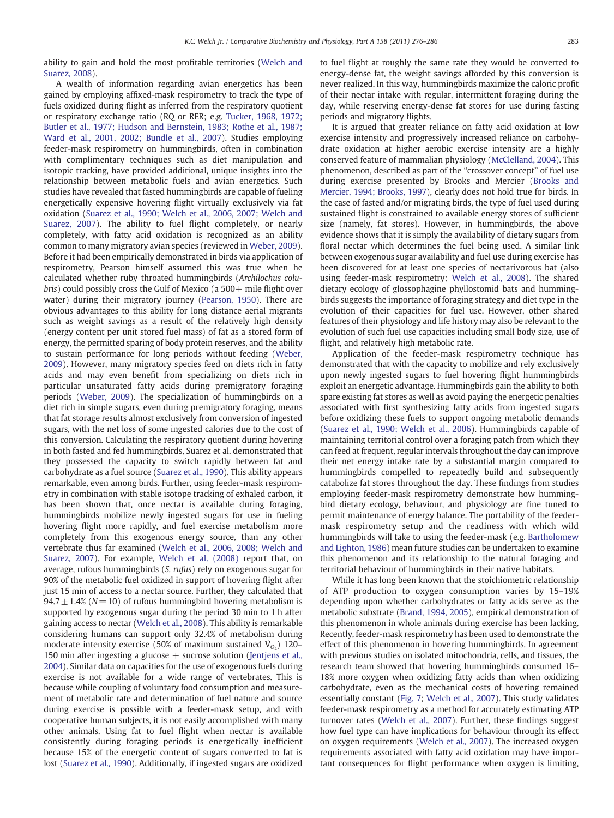ability to gain and hold the most profitable territories [\(Welch and](#page-10-0) [Suarez, 2008](#page-10-0)).

A wealth of information regarding avian energetics has been gained by employing affixed-mask respirometry to track the type of fuels oxidized during flight as inferred from the respiratory quotient or respiratory exchange ratio (RQ or RER; e.g. [Tucker, 1968, 1972;](#page-10-0) [Butler et al., 1977; Hudson and Bernstein, 1983; Rothe et al., 1987;](#page-10-0) [Ward et al., 2001, 2002; Bundle et al., 2007\)](#page-10-0). Studies employing feeder-mask respirometry on hummingbirds, often in combination with complimentary techniques such as diet manipulation and isotopic tracking, have provided additional, unique insights into the relationship between metabolic fuels and avian energetics. Such studies have revealed that fasted hummingbirds are capable of fueling energetically expensive hovering flight virtually exclusively via fat oxidation ([Suarez et al., 1990; Welch et al., 2006, 2007; Welch and](#page-10-0) [Suarez, 2007](#page-10-0)). The ability to fuel flight completely, or nearly completely, with fatty acid oxidation is recognized as an ability common to many migratory avian species (reviewed in [Weber, 2009](#page-10-0)). Before it had been empirically demonstrated in birds via application of respirometry, Pearson himself assumed this was true when he calculated whether ruby throated hummingbirds (Archilochus colubris) could possibly cross the Gulf of Mexico (a  $500+$  mile flight over water) during their migratory journey ([Pearson, 1950](#page-10-0)). There are obvious advantages to this ability for long distance aerial migrants such as weight savings as a result of the relatively high density (energy content per unit stored fuel mass) of fat as a stored form of energy, the permitted sparing of body protein reserves, and the ability to sustain performance for long periods without feeding [\(Weber,](#page-10-0) [2009\)](#page-10-0). However, many migratory species feed on diets rich in fatty acids and may even benefit from specializing on diets rich in particular unsaturated fatty acids during premigratory foraging periods [\(Weber, 2009\)](#page-10-0). The specialization of hummingbirds on a diet rich in simple sugars, even during premigratory foraging, means that fat storage results almost exclusively from conversion of ingested sugars, with the net loss of some ingested calories due to the cost of this conversion. Calculating the respiratory quotient during hovering in both fasted and fed hummingbirds, Suarez et al. demonstrated that they possessed the capacity to switch rapidly between fat and carbohydrate as a fuel source [\(Suarez et al., 1990\)](#page-10-0). This ability appears remarkable, even among birds. Further, using feeder-mask respirometry in combination with stable isotope tracking of exhaled carbon, it has been shown that, once nectar is available during foraging, hummingbirds mobilize newly ingested sugars for use in fueling hovering flight more rapidly, and fuel exercise metabolism more completely from this exogenous energy source, than any other vertebrate thus far examined [\(Welch et al., 2006, 2008; Welch and](#page-10-0) [Suarez, 2007](#page-10-0)). For example, [Welch et al. \(2008\)](#page-10-0) report that, on average, rufous hummingbirds (S. rufus) rely on exogenous sugar for 90% of the metabolic fuel oxidized in support of hovering flight after just 15 min of access to a nectar source. Further, they calculated that  $94.7 \pm 1.4\%$  (N = 10) of rufous hummingbird hovering metabolism is supported by exogenous sugar during the period 30 min to 1 h after gaining access to nectar ([Welch et al., 2008](#page-10-0)). This ability is remarkable considering humans can support only 32.4% of metabolism during moderate intensity exercise (50% of maximum sustained  $\dot{\mathsf{V}}_{O_2}$ ) 120– 150 min after ingesting a glucose  $+$  sucrose solution [\(Jentjens et al.,](#page-10-0) [2004\)](#page-10-0). Similar data on capacities for the use of exogenous fuels during exercise is not available for a wide range of vertebrates. This is because while coupling of voluntary food consumption and measurement of metabolic rate and determination of fuel nature and source during exercise is possible with a feeder-mask setup, and with cooperative human subjects, it is not easily accomplished with many other animals. Using fat to fuel flight when nectar is available consistently during foraging periods is energetically inefficient because 15% of the energetic content of sugars converted to fat is lost [\(Suarez et al., 1990\)](#page-10-0). Additionally, if ingested sugars are oxidized

to fuel flight at roughly the same rate they would be converted to energy-dense fat, the weight savings afforded by this conversion is never realized. In this way, hummingbirds maximize the caloric profit of their nectar intake with regular, intermittent foraging during the day, while reserving energy-dense fat stores for use during fasting periods and migratory flights.

It is argued that greater reliance on fatty acid oxidation at low exercise intensity and progressively increased reliance on carbohydrate oxidation at higher aerobic exercise intensity are a highly conserved feature of mammalian physiology ([McClelland, 2004](#page-10-0)). This phenomenon, described as part of the "crossover concept" of fuel use during exercise presented by Brooks and Mercier ([Brooks and](#page-10-0) [Mercier, 1994; Brooks, 1997\)](#page-10-0), clearly does not hold true for birds. In the case of fasted and/or migrating birds, the type of fuel used during sustained flight is constrained to available energy stores of sufficient size (namely, fat stores). However, in hummingbirds, the above evidence shows that it is simply the availability of dietary sugars from floral nectar which determines the fuel being used. A similar link between exogenous sugar availability and fuel use during exercise has been discovered for at least one species of nectarivorous bat (also using feeder-mask respirometry; [Welch et al., 2008\)](#page-10-0). The shared dietary ecology of glossophagine phyllostomid bats and hummingbirds suggests the importance of foraging strategy and diet type in the evolution of their capacities for fuel use. However, other shared features of their physiology and life history may also be relevant to the evolution of such fuel use capacities including small body size, use of flight, and relatively high metabolic rate.

Application of the feeder-mask respirometry technique has demonstrated that with the capacity to mobilize and rely exclusively upon newly ingested sugars to fuel hovering flight hummingbirds exploit an energetic advantage. Hummingbirds gain the ability to both spare existing fat stores as well as avoid paying the energetic penalties associated with first synthesizing fatty acids from ingested sugars before oxidizing these fuels to support ongoing metabolic demands [\(Suarez et al., 1990; Welch et al., 2006](#page-10-0)). Hummingbirds capable of maintaining territorial control over a foraging patch from which they can feed at frequent, regular intervals throughout the day can improve their net energy intake rate by a substantial margin compared to hummingbirds compelled to repeatedly build and subsequently catabolize fat stores throughout the day. These findings from studies employing feeder-mask respirometry demonstrate how hummingbird dietary ecology, behaviour, and physiology are fine tuned to permit maintenance of energy balance. The portability of the feedermask respirometry setup and the readiness with which wild hummingbirds will take to using the feeder-mask (e.g. [Bartholomew](#page-9-0) [and Lighton, 1986\)](#page-9-0) mean future studies can be undertaken to examine this phenomenon and its relationship to the natural foraging and territorial behaviour of hummingbirds in their native habitats.

While it has long been known that the stoichiometric relationship of ATP production to oxygen consumption varies by 15–19% depending upon whether carbohydrates or fatty acids serve as the metabolic substrate [\(Brand, 1994, 2005](#page-10-0)), empirical demonstration of this phenomenon in whole animals during exercise has been lacking. Recently, feeder-mask respirometry has been used to demonstrate the effect of this phenomenon in hovering hummingbirds. In agreement with previous studies on isolated mitochondria, cells, and tissues, the research team showed that hovering hummingbirds consumed 16– 18% more oxygen when oxidizing fatty acids than when oxidizing carbohydrate, even as the mechanical costs of hovering remained essentially constant ([Fig. 7;](#page-8-0) [Welch et al., 2007\)](#page-10-0). This study validates feeder-mask respirometry as a method for accurately estimating ATP turnover rates [\(Welch et al., 2007](#page-10-0)). Further, these findings suggest how fuel type can have implications for behaviour through its effect on oxygen requirements ([Welch et al., 2007\)](#page-10-0). The increased oxygen requirements associated with fatty acid oxidation may have important consequences for flight performance when oxygen is limiting,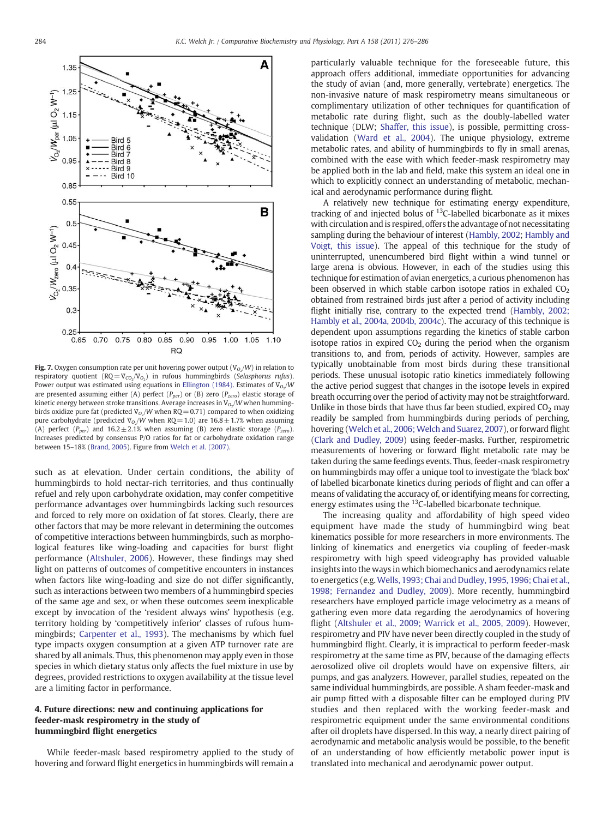<span id="page-8-0"></span>

**Fig. 7.** Oxygen consumption rate per unit hovering power output (V $_{O_2}\!/\!W$ ) in relation to respiratory quotient ( $RQ = V_{CO_2}/V_{O_2}$ ) in rufous hummingbirds (Selasphorus rufus). Power output was estimated using equations in [Ellington \(1984\).](#page-10-0) Estimates of  $\mathtt{V}_{\mathrm{O}_2}/W$ are presented assuming either (A) perfect ( $P_{per}$ ) or (B) zero ( $P_{zero}$ ) elastic storage of kinetic energy between stroke transitions. Average increases in  $\mathtt{V}_{\mathrm{O}_2}/W$  when hummingbirds oxidize pure fat (predicted V $_{\rm O_2}/$ W when RQ = 0.71) compared to when oxidizing pure carbohydrate (predicted  $V_{O_2}/W$  when RQ = 1.0) are 16.8  $\pm$  1.7% when assuming (A) perfect ( $P_{per}$ ) and  $16.2 \pm 2.1$ % when assuming (B) zero elastic storage ( $P_{zero}$ ). Increases predicted by consensus P/O ratios for fat or carbohydrate oxidation range between 15–18% ([Brand, 2005](#page-10-0)). Figure from [Welch et al. \(2007\)](#page-10-0).

such as at elevation. Under certain conditions, the ability of hummingbirds to hold nectar-rich territories, and thus continually refuel and rely upon carbohydrate oxidation, may confer competitive performance advantages over hummingbirds lacking such resources and forced to rely more on oxidation of fat stores. Clearly, there are other factors that may be more relevant in determining the outcomes of competitive interactions between hummingbirds, such as morphological features like wing-loading and capacities for burst flight performance [\(Altshuler, 2006](#page-9-0)). However, these findings may shed light on patterns of outcomes of competitive encounters in instances when factors like wing-loading and size do not differ significantly, such as interactions between two members of a hummingbird species of the same age and sex, or when these outcomes seem inexplicable except by invocation of the 'resident always wins' hypothesis (e.g. territory holding by 'competitively inferior' classes of rufous hummingbirds; [Carpenter et al., 1993](#page-10-0)). The mechanisms by which fuel type impacts oxygen consumption at a given ATP turnover rate are shared by all animals. Thus, this phenomenon may apply even in those species in which dietary status only affects the fuel mixture in use by degrees, provided restrictions to oxygen availability at the tissue level are a limiting factor in performance.

#### 4. Future directions: new and continuing applications for feeder-mask respirometry in the study of hummingbird flight energetics

While feeder-mask based respirometry applied to the study of hovering and forward flight energetics in hummingbirds will remain a particularly valuable technique for the foreseeable future, this approach offers additional, immediate opportunities for advancing the study of avian (and, more generally, vertebrate) energetics. The non-invasive nature of mask respirometry means simultaneous or complimentary utilization of other techniques for quantification of metabolic rate during flight, such as the doubly-labelled water technique (DLW; [Shaffer, this issue](#page-10-0)), is possible, permitting crossvalidation ([Ward et al., 2004](#page-10-0)). The unique physiology, extreme metabolic rates, and ability of hummingbirds to fly in small arenas, combined with the ease with which feeder-mask respirometry may be applied both in the lab and field, make this system an ideal one in which to explicitly connect an understanding of metabolic, mechanical and aerodynamic performance during flight.

A relatively new technique for estimating energy expenditure, tracking of and injected bolus of  $^{13}$ C-labelled bicarbonate as it mixes with circulation and is respired, offers the advantage of not necessitating sampling during the behaviour of interest [\(Hambly, 2002;](#page-10-0) [Hambly and](#page-10-0) [Voigt, this issue](#page-10-0)). The appeal of this technique for the study of uninterrupted, unencumbered bird flight within a wind tunnel or large arena is obvious. However, in each of the studies using this technique for estimation of avian energetics, a curious phenomenon has been observed in which stable carbon isotope ratios in exhaled  $CO<sub>2</sub>$ obtained from restrained birds just after a period of activity including flight initially rise, contrary to the expected trend [\(Hambly, 2002;](#page-10-0) [Hambly et al., 2004a, 2004b, 2004c\)](#page-10-0). The accuracy of this technique is dependent upon assumptions regarding the kinetics of stable carbon isotope ratios in expired  $CO<sub>2</sub>$  during the period when the organism transitions to, and from, periods of activity. However, samples are typically unobtainable from most birds during these transitional periods. These unusual isotopic ratio kinetics immediately following the active period suggest that changes in the isotope levels in expired breath occurring over the period of activity may not be straightforward. Unlike in those birds that have thus far been studied, expired  $CO<sub>2</sub>$  may readily be sampled from hummingbirds during periods of perching, hovering (Welch et al., 2006; Welch and Suarez, 2007), or forward flight [\(Clark and Dudley, 2009](#page-10-0)) using feeder-masks. Further, respirometric measurements of hovering or forward flight metabolic rate may be taken during the same feedings events. Thus, feeder-mask respirometry on hummingbirds may offer a unique tool to investigate the 'black box' of labelled bicarbonate kinetics during periods of flight and can offer a means of validating the accuracy of, or identifying means for correcting, energy estimates using the  $13C$ -labelled bicarbonate technique.

The increasing quality and affordability of high speed video equipment have made the study of hummingbird wing beat kinematics possible for more researchers in more environments. The linking of kinematics and energetics via coupling of feeder-mask respirometry with high speed videography has provided valuable insights into the ways in which biomechanics and aerodynamics relate to energetics (e.g.[Wells, 1993; Chai and Dudley, 1995, 1996; Chai et al.,](#page-10-0) [1998; Fernandez and Dudley, 2009](#page-10-0)). More recently, hummingbird researchers have employed particle image velocimetry as a means of gathering even more data regarding the aerodynamics of hovering flight ([Altshuler et al., 2009; Warrick et al., 2005, 2009](#page-9-0)). However, respirometry and PIV have never been directly coupled in the study of hummingbird flight. Clearly, it is impractical to perform feeder-mask respirometry at the same time as PIV, because of the damaging effects aerosolized olive oil droplets would have on expensive filters, air pumps, and gas analyzers. However, parallel studies, repeated on the same individual hummingbirds, are possible. A sham feeder-mask and air pump fitted with a disposable filter can be employed during PIV studies and then replaced with the working feeder-mask and respirometric equipment under the same environmental conditions after oil droplets have dispersed. In this way, a nearly direct pairing of aerodynamic and metabolic analysis would be possible, to the benefit of an understanding of how efficiently metabolic power input is translated into mechanical and aerodynamic power output.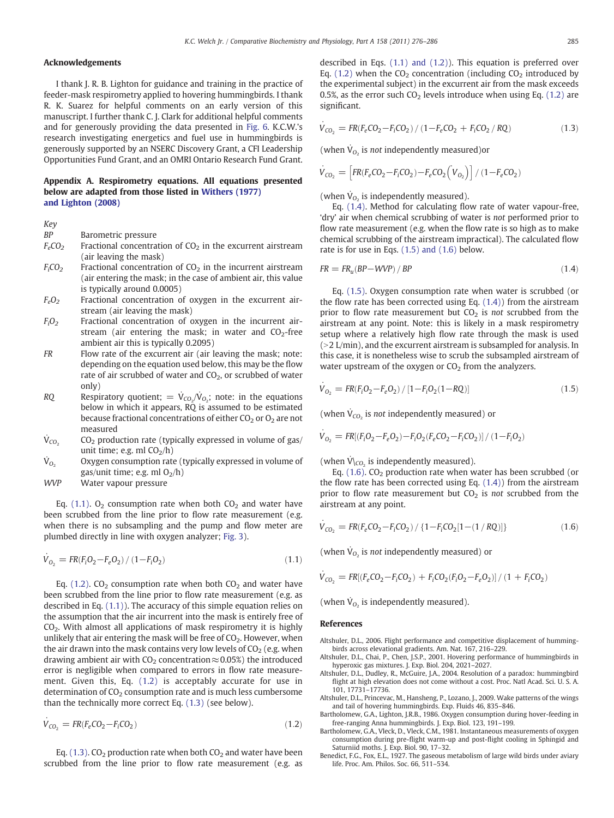#### <span id="page-9-0"></span>Acknowledgements

I thank J. R. B. Lighton for guidance and training in the practice of feeder-mask respirometry applied to hovering hummingbirds. I thank R. K. Suarez for helpful comments on an early version of this manuscript. I further thank C. J. Clark for additional helpful comments and for generously providing the data presented in [Fig. 6](#page-4-0). K.C.W.'s research investigating energetics and fuel use in hummingbirds is generously supported by an NSERC Discovery Grant, a CFI Leadership Opportunities Fund Grant, and an OMRI Ontario Research Fund Grant.

#### Appendix A. Respirometry equations. All equations presented below are adapted from those listed in [Withers \(1977\)](#page-10-0) [and Lighton \(2008\)](#page-10-0)

Key

BP Barometric pressure

- $F<sub>e</sub>CO<sub>2</sub>$  Fractional concentration of  $CO<sub>2</sub>$  in the excurrent airstream (air leaving the mask)
- $F_iCO_2$  Fractional concentration of  $CO_2$  in the incurrent airstream (air entering the mask; in the case of ambient air, this value is typically around 0.0005)
- $F_eO<sub>2</sub>$  Fractional concentration of oxygen in the excurrent airstream (air leaving the mask)
- $F_iO_2$  Fractional concentration of oxygen in the incurrent airstream (air entering the mask; in water and  $CO<sub>2</sub>$ -free ambient air this is typically 0.2095)
- FR Flow rate of the excurrent air (air leaving the mask; note: depending on the equation used below, this may be the flow rate of air scrubbed of water and  $CO<sub>2</sub>$ , or scrubbed of water only)
- RQ Respiratory quotient;  $= \dot{V}_{CO_2}/\dot{V}_{O_2}$ ; note: in the equations below in which it appears, RQ is assumed to be estimated because fractional concentrations of either  $CO<sub>2</sub>$  or  $O<sub>2</sub>$  are not measured
- $\dot{V}_{CO_2}$  $CO<sub>2</sub>$  production rate (typically expressed in volume of gas/ unit time; e.g. ml  $CO<sub>2</sub>/h$ )
- $\dot{V}_{O_2}$ Oxygen consumption rate (typically expressed in volume of gas/unit time; e.g. ml  $O<sub>2</sub>/h$ )
- WVP Water vapour pressure

Eq. (1.1).  $O_2$  consumption rate when both  $CO_2$  and water have been scrubbed from the line prior to flow rate measurement (e.g. when there is no subsampling and the pump and flow meter are plumbed directly in line with oxygen analyzer; [Fig. 3](#page-2-0)).

$$
V_{O_2} = FR(F_i O_2 - F_e O_2) / (1 - F_i O_2)
$$
\n(1.1)

Eq. (1.2). CO<sub>2</sub> consumption rate when both CO<sub>2</sub> and water have been scrubbed from the line prior to flow rate measurement (e.g. as described in Eq.  $(1,1)$ ). The accuracy of this simple equation relies on the assumption that the air incurrent into the mask is entirely free of  $CO<sub>2</sub>$ . With almost all applications of mask respirometry it is highly unlikely that air entering the mask will be free of  $CO<sub>2</sub>$ . However, when the air drawn into the mask contains very low levels of  $CO<sub>2</sub>$  (e.g. when drawing ambient air with  $CO<sub>2</sub>$  concentration  $\approx$  0.05%) the introduced error is negligible when compared to errors in flow rate measurement. Given this, Eq. (1.2) is acceptably accurate for use in determination of  $CO<sub>2</sub>$  consumption rate and is much less cumbersome than the technically more correct Eq. (1.3) (see below).

$$
\dot{V}_{CO_2} = FR(F_e CO_2 - F_i CO_2)
$$
\n(1.2)

Eq.  $(1.3)$ . CO<sub>2</sub> production rate when both CO<sub>2</sub> and water have been scrubbed from the line prior to flow rate measurement (e.g. as described in Eqs. (1.1) and (1.2)). This equation is preferred over Eq. (1.2) when the  $CO<sub>2</sub>$  concentration (including  $CO<sub>2</sub>$  introduced by the experimental subject) in the excurrent air from the mask exceeds 0.5%, as the error such  $CO<sub>2</sub>$  levels introduce when using Eq. (1.2) are significant.

$$
V_{CO_2} = FR(F_e CO_2 - F_i CO_2) / (1 - F_e CO_2 + F_i CO_2 / RQ)
$$
\n(1.3)

(when  $\dot{V}_{O_2}$  is *not* independently measured) or

$$
\dot{V}_{CO_2} = \left[ FR(F_e CO_2 - F_i CO_2) - F_e CO_2 \left(V_{O_2}\right) \right] / (1 - F_e CO_2)
$$

(when  $\dot{V}_{O_2}$  is independently measured).

Eq. (1.4). Method for calculating flow rate of water vapour-free, 'dry' air when chemical scrubbing of water is not performed prior to flow rate measurement (e.g. when the flow rate is so high as to make chemical scrubbing of the airstream impractical). The calculated flow rate is for use in Eqs. (1.5) and (1.6) below.

$$
FR = FR_u(BP - WVP) / BP \tag{1.4}
$$

Eq. (1.5). Oxygen consumption rate when water is scrubbed (or the flow rate has been corrected using Eq.  $(1.4)$ ) from the airstream prior to flow rate measurement but  $CO<sub>2</sub>$  is not scrubbed from the airstream at any point. Note: this is likely in a mask respirometry setup where a relatively high flow rate through the mask is used  $(>2$  L/min), and the excurrent airstream is subsampled for analysis. In this case, it is nonetheless wise to scrub the subsampled airstream of water upstream of the oxygen or  $CO<sub>2</sub>$  from the analyzers.

$$
V_{O_2} = FR(F_i O_2 - F_e O_2) / [1 - F_i O_2 (1 - RQ)]
$$
\n(1.5)

(when  $\dot{V}_{CO_2}$  is *not* independently measured) or

$$
\dot{V}_{O_2} = FR[(F_iO_2 - F_eO_2) - F_iO_2(F_eCO_2 - F_iCO_2)] / (1 - F_iO_2)
$$

(when  $V_{C_2}$  is independently measured).

Eq.  $(1.6)$ . CO<sub>2</sub> production rate when water has been scrubbed (or the flow rate has been corrected using Eq.  $(1.4)$ ) from the airstream prior to flow rate measurement but  $CO<sub>2</sub>$  is not scrubbed from the airstream at any point.

$$
\dot{V}_{CO_2} = FR(F_e CO_2 - F_i CO_2) / \{1 - F_i CO_2[1 - (1 / RQ)]\}
$$
\n(1.6)

(when  $\dot{V}_{O_2}$  is *not* independently measured) or

$$
\dot{V}_{CO_2} = FR[(F_eCO_2 - F_iCO_2) + F_iCO_2(F_iO_2 - F_eO_2)] / (1 + F_iCO_2)
$$

(when  $\dot{V}_{O_2}$  is independently measured).

#### References

- Altshuler, D.L., 2006. Flight performance and competitive displacement of hummingbirds across elevational gradients. Am. Nat. 167, 216–229.
- Altshuler, D.L., Chai, P., Chen, J.S.P., 2001. Hovering performance of hummingbirds in hyperoxic gas mixtures. J. Exp. Biol. 204, 2021–2027.
- Altshuler, D.L., Dudley, R., McGuire, J.A., 2004. Resolution of a paradox: hummingbird flight at high elevation does not come without a cost. Proc. Natl Acad. Sci. U. S. A. 101, 17731–17736.
- Altshuler, D.L., Princevac, M., Hansheng, P., Lozano, J., 2009. Wake patterns of the wings and tail of hovering hummingbirds. Exp. Fluids 46, 835–846.
- Bartholomew, G.A., Lighton, J.R.B., 1986. Oxygen consumption during hover-feeding in free-ranging Anna hummingbirds. J. Exp. Biol. 123, 191–199.
- Bartholomew, G.A., Vleck, D., Vleck, C.M., 1981. Instantaneous measurements of oxygen consumption during pre-flight warm-up and post-flight cooling in Sphingid and Saturniid moths. J. Exp. Biol. 90, 17-32.
- Benedict, F.G., Fox, E.L., 1927. The gaseous metabolism of large wild birds under aviary life. Proc. Am. Philos. Soc. 66, 511–534.